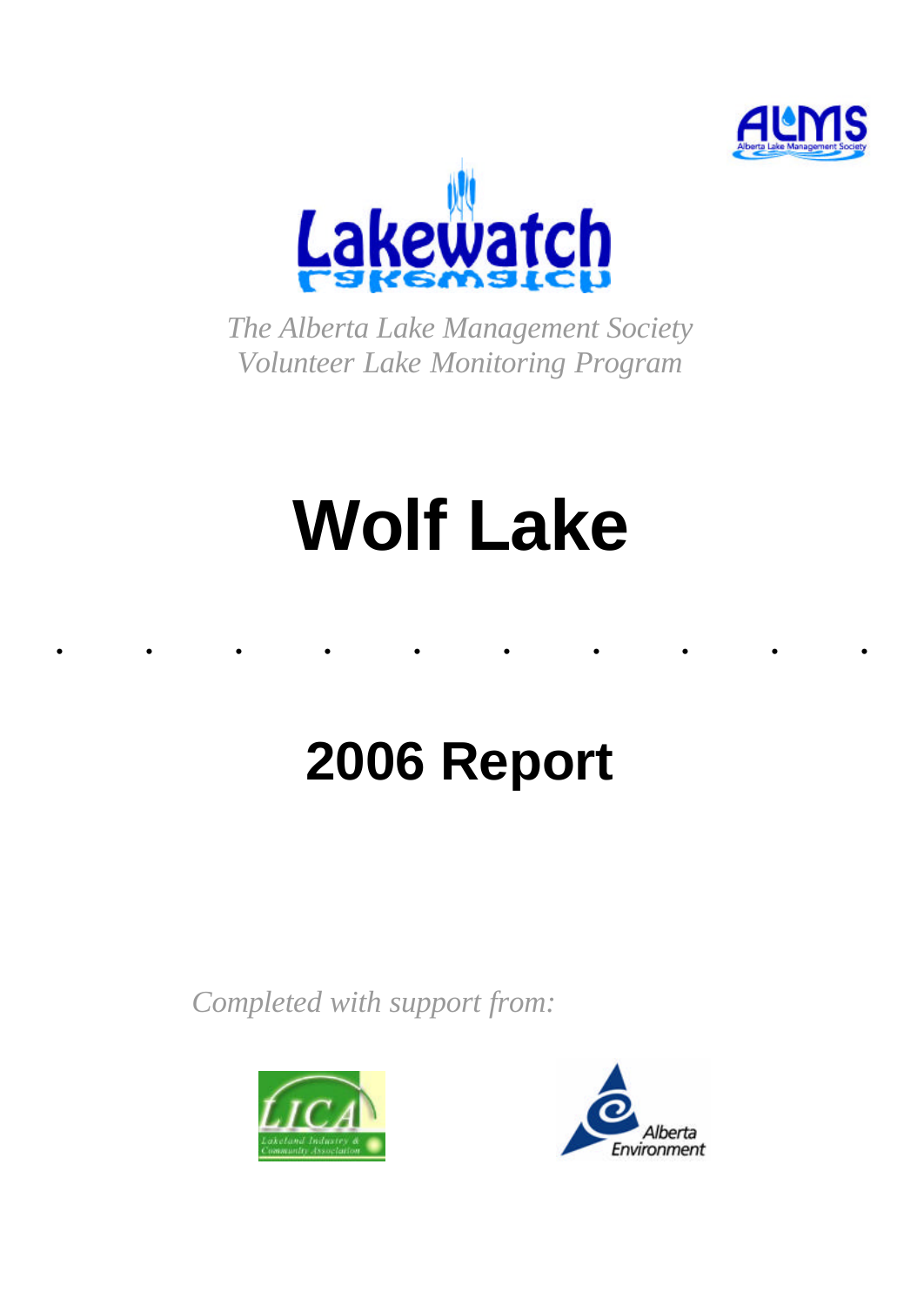



*The Alberta Lake Management Society Volunteer Lake Monitoring Program*

# **Wolf Lake**

......... .

## **2006 Report**

*Completed with support from:*



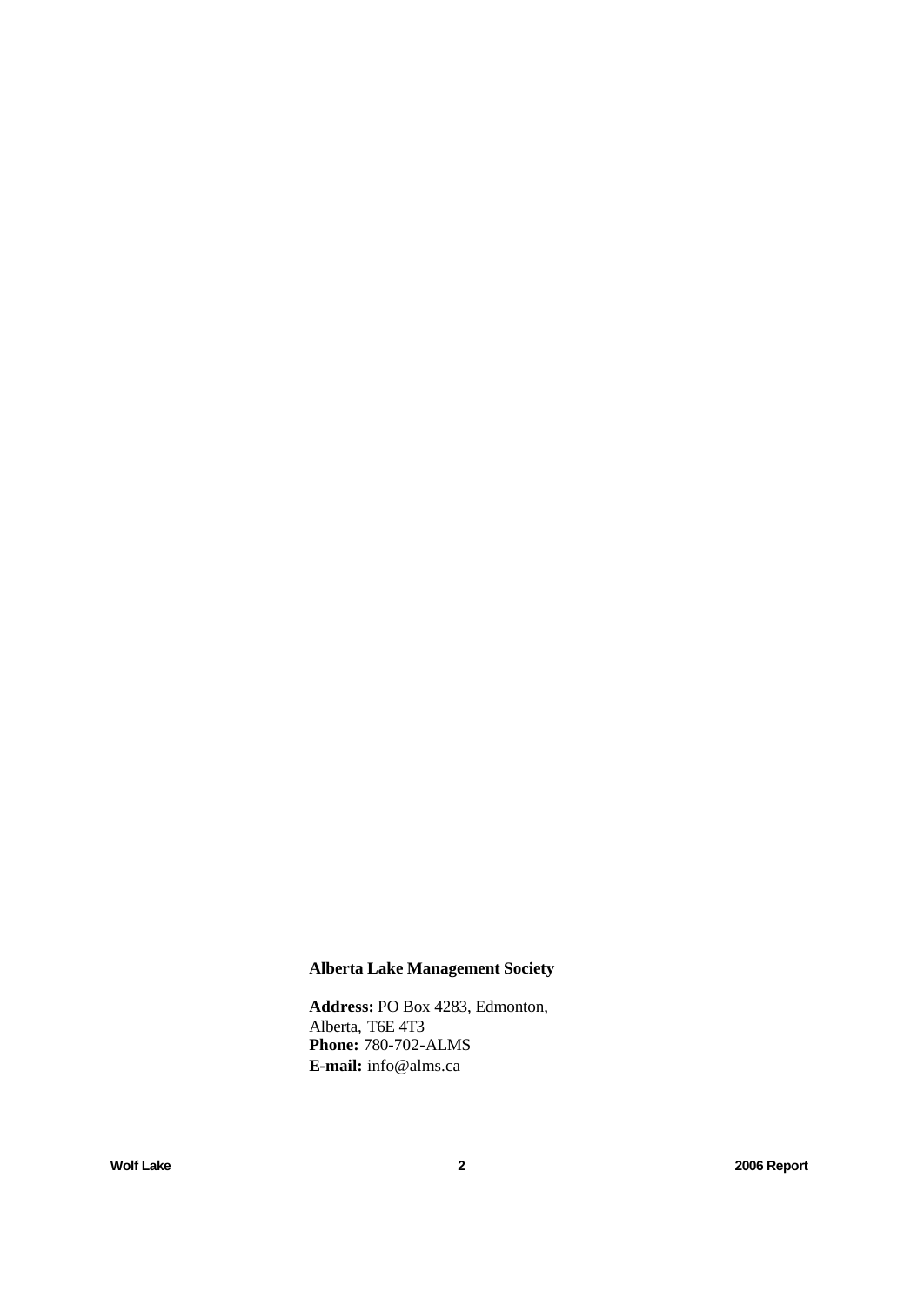## **Alberta Lake Management Society**

**Address:** PO Box 4283, Edmonton, Alberta, T6E 4T3 **Phone:** 780-702-ALMS **E-mail:** info@alms.ca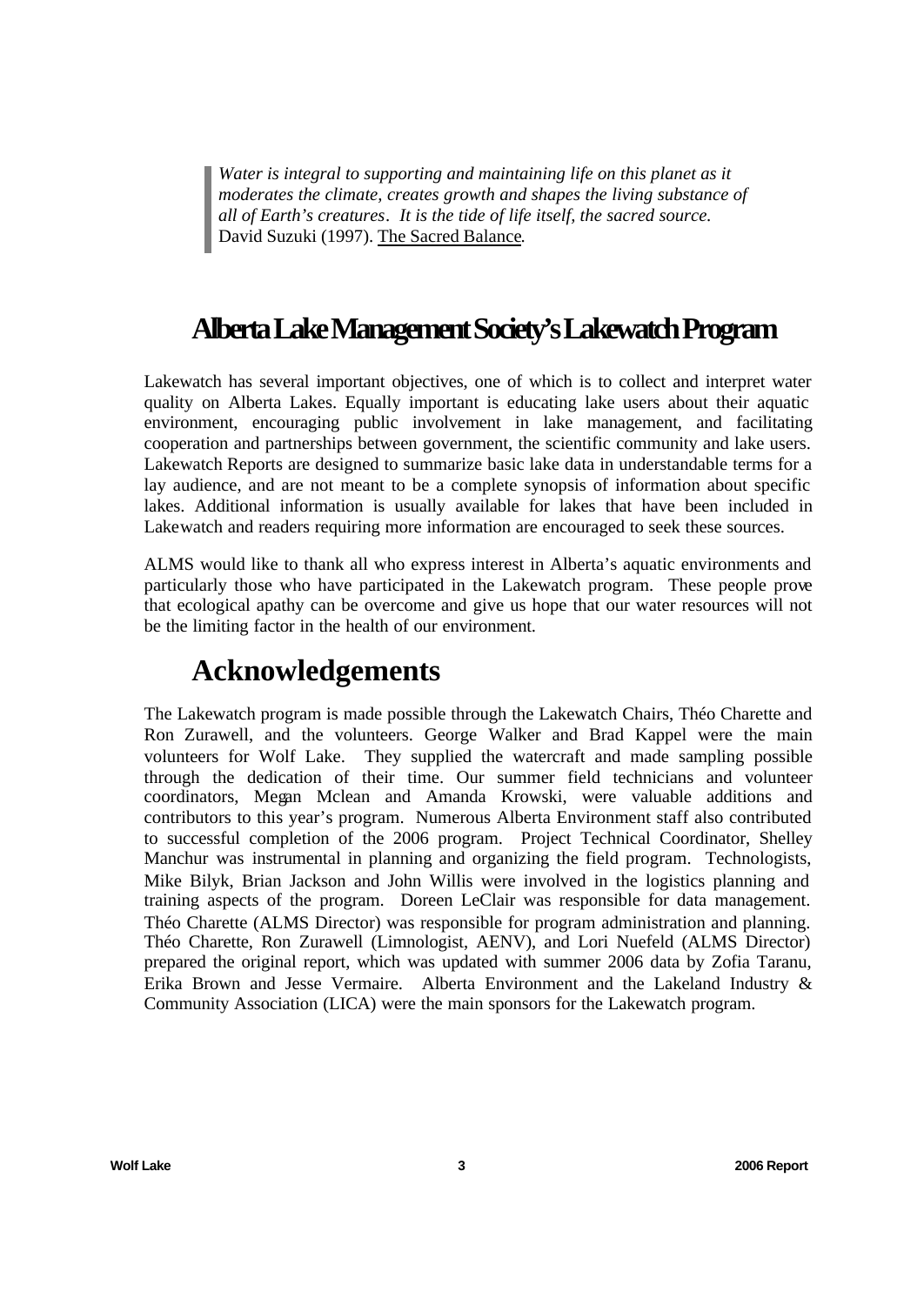*Water is integral to supporting and maintaining life on this planet as it moderates the climate, creates growth and shapes the living substance of all of Earth's creatures. It is the tide of life itself, the sacred source.*  David Suzuki (1997). The Sacred Balance.

## **Alberta Lake Management Society's Lakewatch Program**

Lakewatch has several important objectives, one of which is to collect and interpret water quality on Alberta Lakes. Equally important is educating lake users about their aquatic environment, encouraging public involvement in lake management, and facilitating cooperation and partnerships between government, the scientific community and lake users. Lakewatch Reports are designed to summarize basic lake data in understandable terms for a lay audience, and are not meant to be a complete synopsis of information about specific lakes. Additional information is usually available for lakes that have been included in Lakewatch and readers requiring more information are encouraged to seek these sources.

ALMS would like to thank all who express interest in Alberta's aquatic environments and particularly those who have participated in the Lakewatch program. These people prove that ecological apathy can be overcome and give us hope that our water resources will not be the limiting factor in the health of our environment.

## **Acknowledgements**

The Lakewatch program is made possible through the Lakewatch Chairs, Théo Charette and Ron Zurawell, and the volunteers. George Walker and Brad Kappel were the main volunteers for Wolf Lake. They supplied the watercraft and made sampling possible through the dedication of their time. Our summer field technicians and volunteer coordinators, Megan Mclean and Amanda Krowski, were valuable additions and contributors to this year's program. Numerous Alberta Environment staff also contributed to successful completion of the 2006 program. Project Technical Coordinator, Shelley Manchur was instrumental in planning and organizing the field program. Technologists, Mike Bilyk, Brian Jackson and John Willis were involved in the logistics planning and training aspects of the program. Doreen LeClair was responsible for data management. Théo Charette (ALMS Director) was responsible for program administration and planning. Théo Charette, Ron Zurawell (Limnologist, AENV), and Lori Nuefeld (ALMS Director) prepared the original report, which was updated with summer 2006 data by Zofia Taranu, Erika Brown and Jesse Vermaire. Alberta Environment and the Lakeland Industry & Community Association (LICA) were the main sponsors for the Lakewatch program.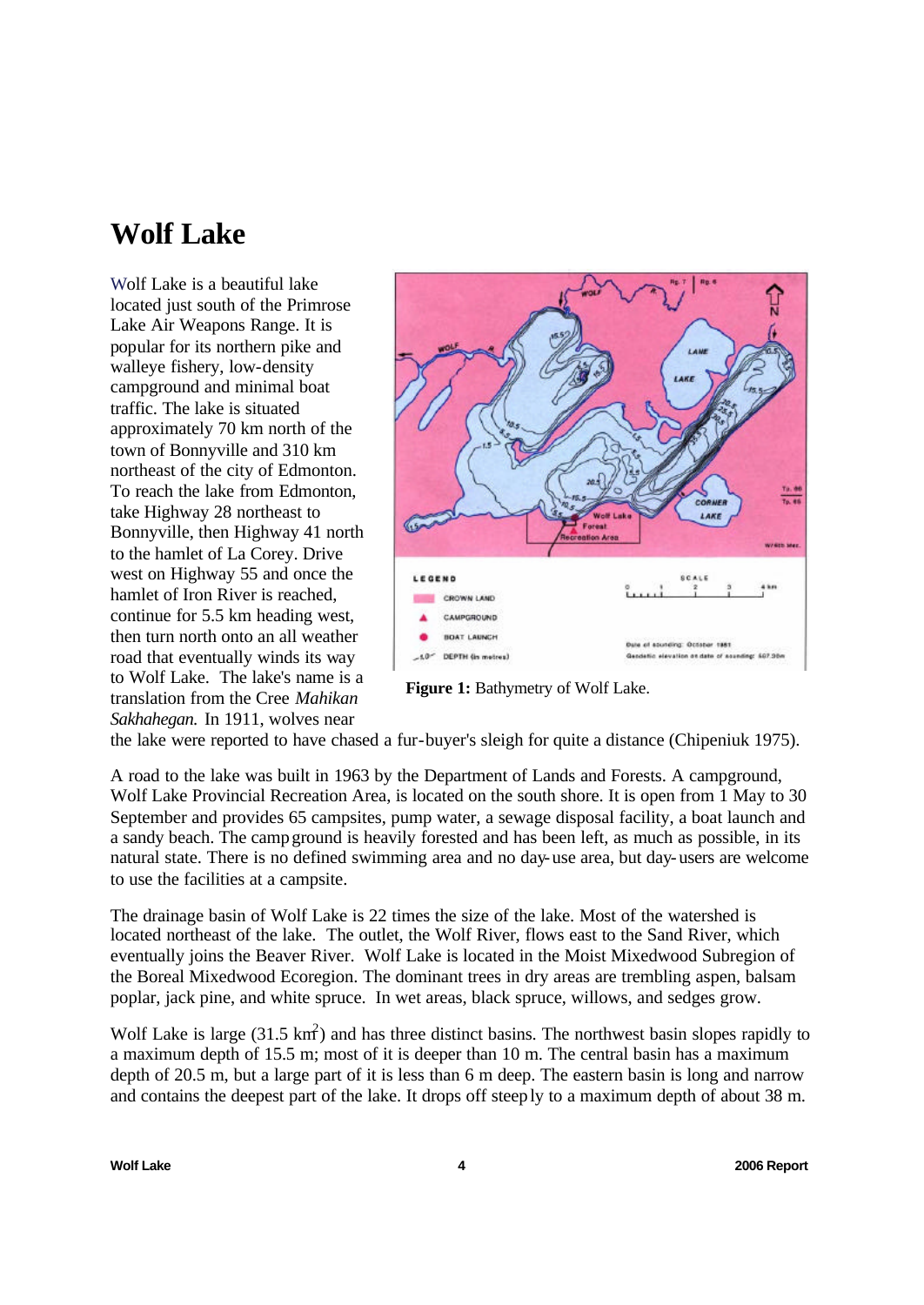## **Wolf Lake**

Wolf Lake is a beautiful lake located just south of the Primrose Lake Air Weapons Range. It is popular for its northern pike and walleye fishery, low-density campground and minimal boat traffic. The lake is situated approximately 70 km north of the town of Bonnyville and 310 km northeast of the city of Edmonton. To reach the lake from Edmonton, take Highway 28 northeast to Bonnyville, then Highway 41 north to the hamlet of La Corey. Drive west on Highway 55 and once the hamlet of Iron River is reached, continue for 5.5 km heading west, then turn north onto an all weather road that eventually winds its way to Wolf Lake. The lake's name is a translation from the Cree *Mahikan Sakhahegan.* In 1911, wolves near



**Figure 1:** Bathymetry of Wolf Lake.

the lake were reported to have chased a fur-buyer's sleigh for quite a distance (Chipeniuk 1975).

A road to the lake was built in 1963 by the Department of Lands and Forests. A campground, Wolf Lake Provincial Recreation Area, is located on the south shore. It is open from 1 May to 30 September and provides 65 campsites, pump water, a sewage disposal facility, a boat launch and a sandy beach. The campground is heavily forested and has been left, as much as possible, in its natural state. There is no defined swimming area and no day-use area, but day-users are welcome to use the facilities at a campsite.

The drainage basin of Wolf Lake is 22 times the size of the lake. Most of the watershed is located northeast of the lake. The outlet, the Wolf River, flows east to the Sand River, which eventually joins the Beaver River. Wolf Lake is located in the Moist Mixedwood Subregion of the Boreal Mixedwood Ecoregion. The dominant trees in dry areas are trembling aspen, balsam poplar, jack pine, and white spruce. In wet areas, black spruce, willows, and sedges grow.

Wolf Lake is large  $(31.5 \text{ km}^2)$  and has three distinct basins. The northwest basin slopes rapidly to a maximum depth of 15.5 m; most of it is deeper than 10 m. The central basin has a maximum depth of 20.5 m, but a large part of it is less than 6 m deep. The eastern basin is long and narrow and contains the deepest part of the lake. It drops off steeply to a maximum depth of about 38 m.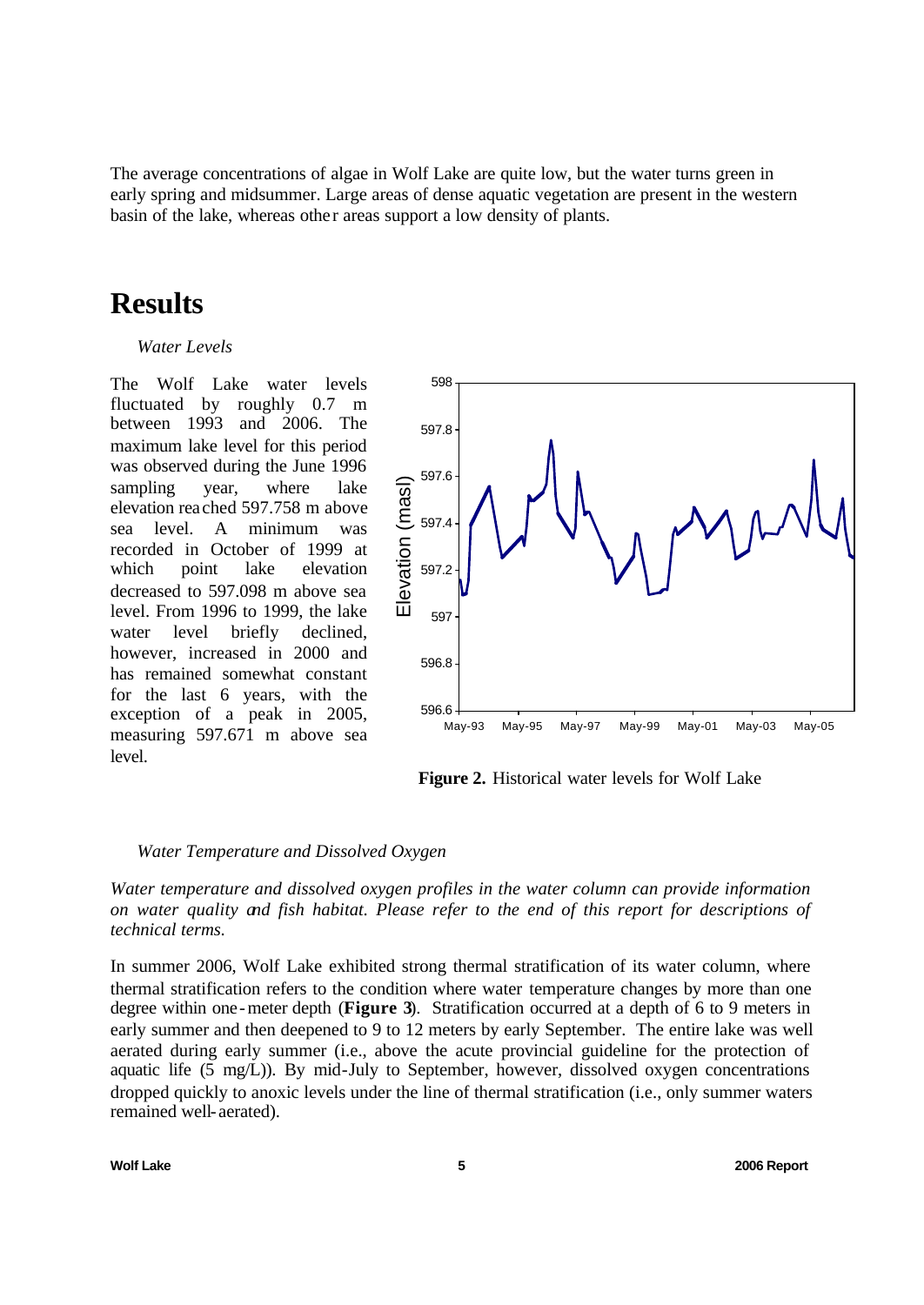The average concentrations of algae in Wolf Lake are quite low, but the water turns green in early spring and midsummer. Large areas of dense aquatic vegetation are present in the western basin of the lake, whereas other areas support a low density of plants.

## **Results**

#### *Water Levels*

The Wolf Lake water levels fluctuated by roughly 0.7 m between 1993 and 2006. The maximum lake level for this period was observed during the June 1996 sampling year, where lake elevation rea ched 597.758 m above sea level. A minimum was recorded in October of 1999 at which point lake elevation decreased to 597.098 m above sea level. From 1996 to 1999, the lake water level briefly declined, however, increased in 2000 and has remained somewhat constant for the last 6 years, with the exception of a peak in 2005, measuring 597.671 m above sea level.



**Figure 2.** Historical water levels for Wolf Lake

#### *Water Temperature and Dissolved Oxygen*

*Water temperature and dissolved oxygen profiles in the water column can provide information on water quality and fish habitat. Please refer to the end of this report for descriptions of technical terms.*

In summer 2006, Wolf Lake exhibited strong thermal stratification of its water column, where thermal stratification refers to the condition where water temperature changes by more than one degree within one-meter depth (**Figure 3**). Stratification occurred at a depth of 6 to 9 meters in early summer and then deepened to 9 to 12 meters by early September. The entire lake was well aerated during early summer (i.e., above the acute provincial guideline for the protection of aquatic life (5 mg/L)). By mid-July to September, however, dissolved oxygen concentrations dropped quickly to anoxic levels under the line of thermal stratification (i.e., only summer waters remained well- aerated).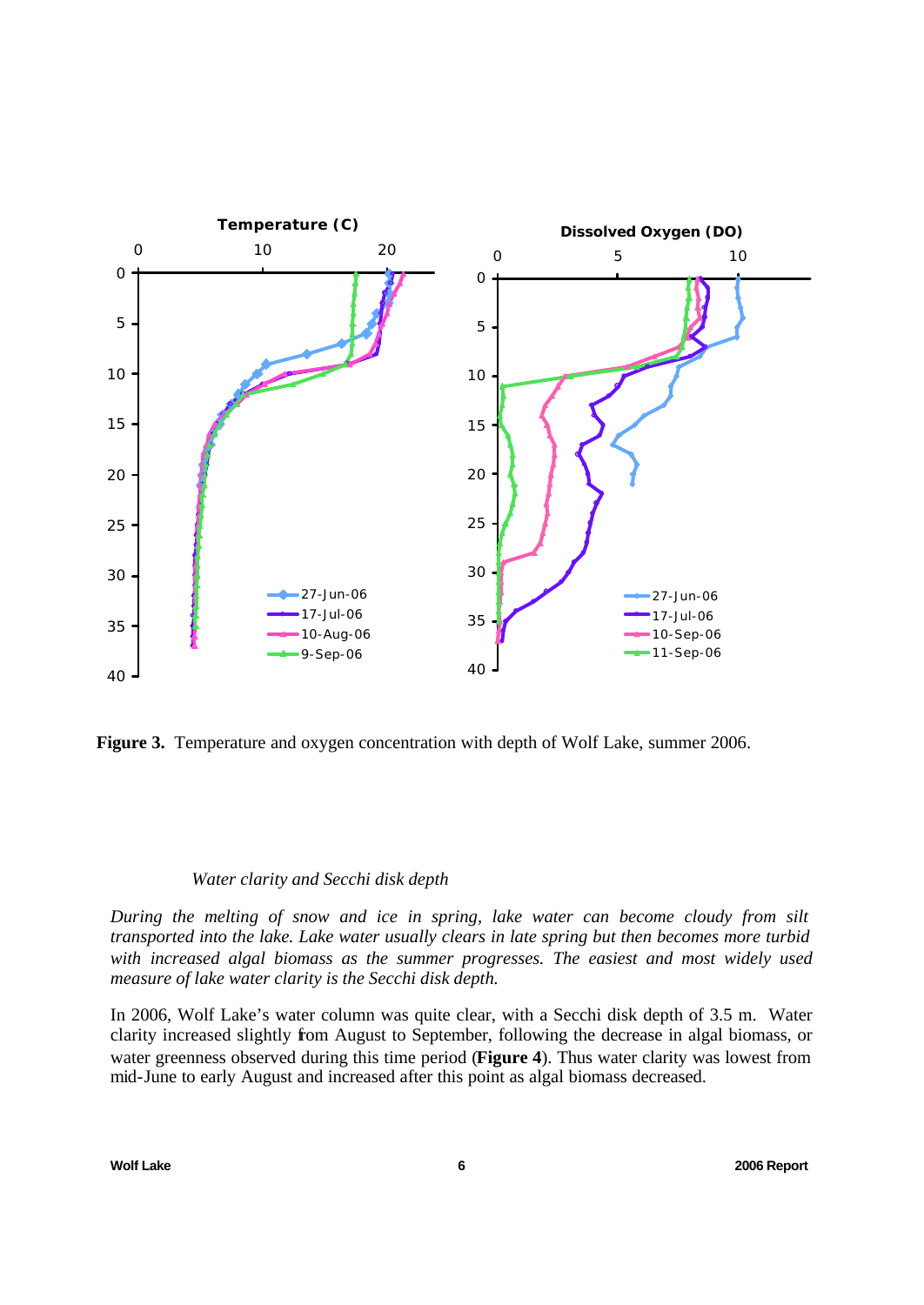

**Figure 3.** Temperature and oxygen concentration with depth of Wolf Lake, summer 2006.

#### *Water clarity and Secchi disk depth*

*During the melting of snow and ice in spring, lake water can become cloudy from silt transported into the lake. Lake water usually clears in late spring but then becomes more turbid with increased algal biomass as the summer progresses. The easiest and most widely used measure of lake water clarity is the Secchi disk depth.*

In 2006, Wolf Lake's water column was quite clear, with a Secchi disk depth of 3.5 m. Water clarity increased slightly from August to September, following the decrease in algal biomass, or water greenness observed during this time period (**Figure 4**). Thus water clarity was lowest from mid-June to early August and increased after this point as algal biomass decreased.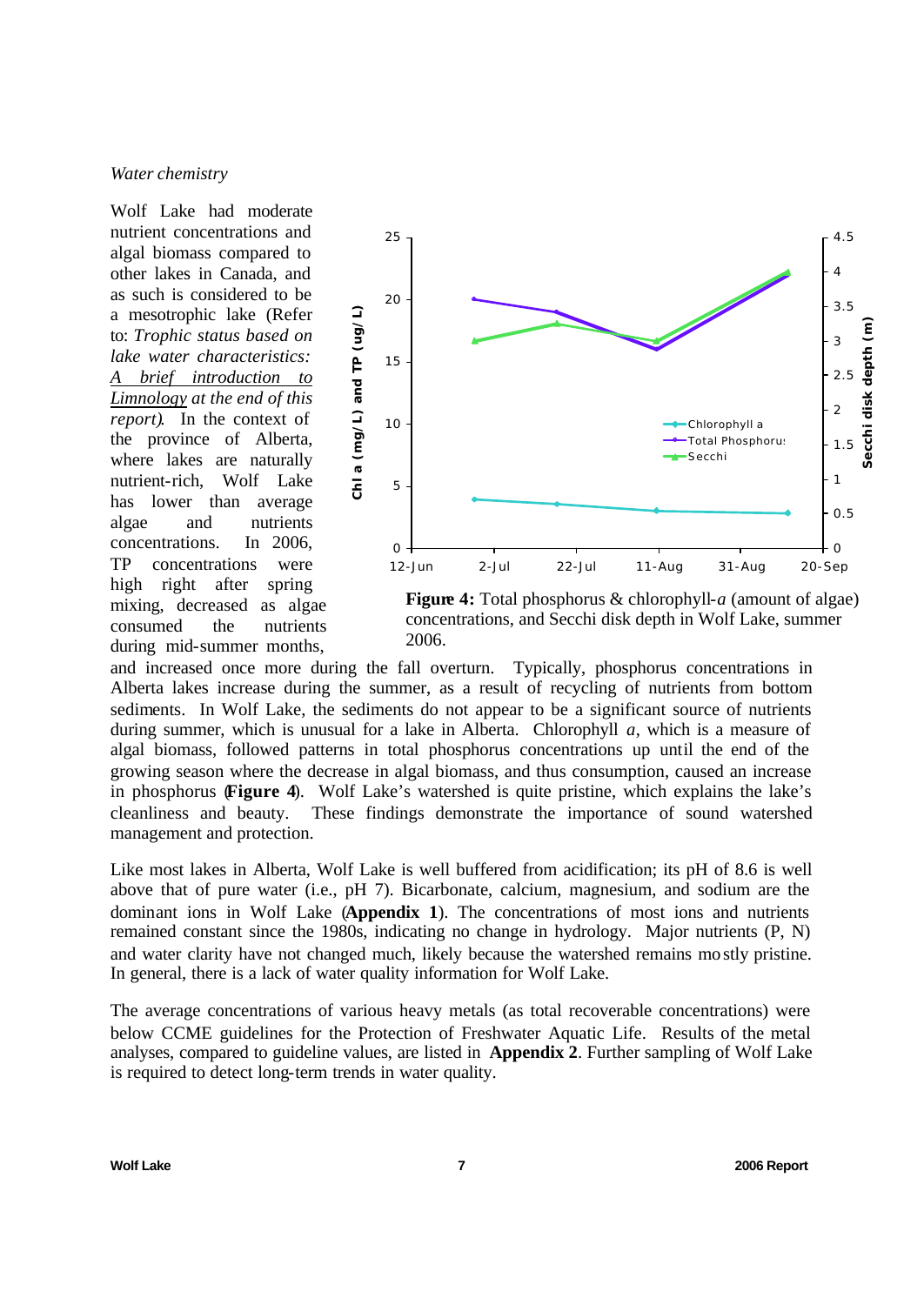#### *Water chemistry*

Wolf Lake had moderate nutrient concentrations and algal biomass compared to other lakes in Canada, and as such is considered to be a mesotrophic lake (Refer to: *Trophic status based on lake water characteristics: brief introduction to Limnology at the end of this report)*. In the context of the province of Alberta, where lakes are naturally nutrient-rich, Wolf Lake has lower than average algae and nutrients concentrations. In 2006, TP concentrations were high right after spring mixing, decreased as algae consumed the nutrients during mid-summer months,



**Figure 4:** Total phosphorus & chlorophyll-*a* (amount of algae) concentrations, and Secchi disk depth in Wolf Lake, summer 2006.

and increased once more during the fall overturn. Typically, phosphorus concentrations in Alberta lakes increase during the summer, as a result of recycling of nutrients from bottom sediments. In Wolf Lake, the sediments do not appear to be a significant source of nutrients during summer, which is unusual for a lake in Alberta. Chlorophyll *a*, which is a measure of algal biomass, followed patterns in total phosphorus concentrations up until the end of the growing season where the decrease in algal biomass, and thus consumption, caused an increase in phosphorus (**Figure 4**). Wolf Lake's watershed is quite pristine, which explains the lake's cleanliness and beauty. These findings demonstrate the importance of sound watershed management and protection.

Like most lakes in Alberta, Wolf Lake is well buffered from acidification; its pH of 8.6 is well above that of pure water (i.e., pH 7). Bicarbonate, calcium, magnesium, and sodium are the dominant ions in Wolf Lake (**Appendix 1**). The concentrations of most ions and nutrients remained constant since the 1980s, indicating no change in hydrology. Major nutrients (P, N) and water clarity have not changed much, likely because the watershed remains mostly pristine. In general, there is a lack of water quality information for Wolf Lake.

The average concentrations of various heavy metals (as total recoverable concentrations) were below CCME guidelines for the Protection of Freshwater Aquatic Life. Results of the metal analyses, compared to guideline values, are listed in **Appendix 2**. Further sampling of Wolf Lake is required to detect long-term trends in water quality.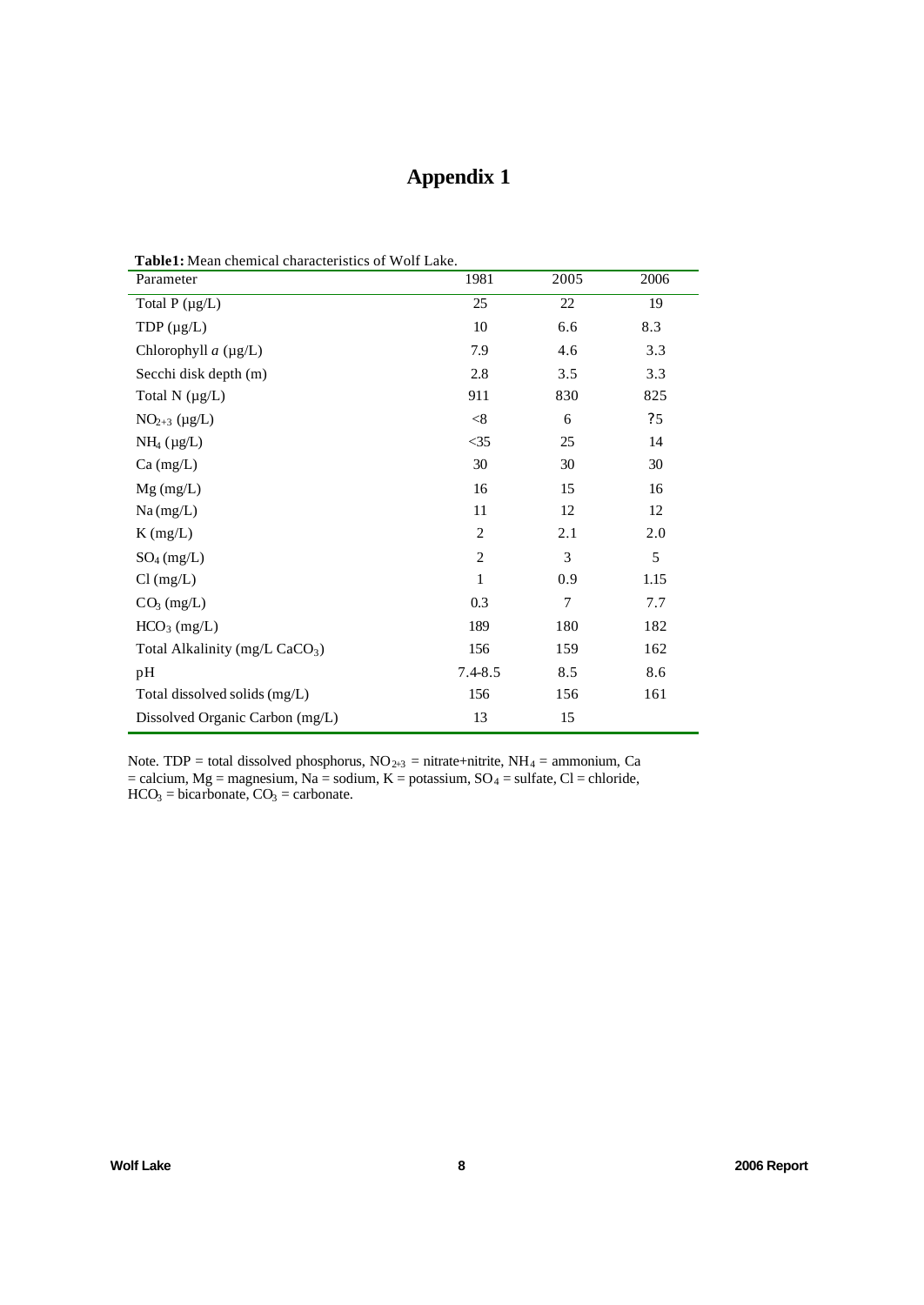## **Appendix 1**

| <b>Table1:</b> Mean chemical characteristics of Wolf Lake. |                |      |      |  |  |
|------------------------------------------------------------|----------------|------|------|--|--|
| Parameter                                                  | 1981           | 2005 | 2006 |  |  |
| Total $P(\mu g/L)$                                         | 25             | 22   | 19   |  |  |
| TDP $(\mu g/L)$                                            | 10             | 6.6  | 8.3  |  |  |
| Chlorophyll $a$ ( $\mu$ g/L)                               | 7.9            | 4.6  | 3.3  |  |  |
| Secchi disk depth (m)                                      | 2.8            | 3.5  | 3.3  |  |  |
| Total $N(\mu g/L)$                                         | 911            | 830  | 825  |  |  |
| $NO2+3 (µg/L)$                                             | < 8            | 6    | ?5   |  |  |
| $NH_4$ ( $\mu$ g/L)                                        | $<$ 35         | 25   | 14   |  |  |
| $Ca$ (mg/L)                                                | 30             | 30   | 30   |  |  |
| $Mg$ (mg/L)                                                | 16             | 15   | 16   |  |  |
| Na(mg/L)                                                   | 11             | 12   | 12   |  |  |
| $K$ (mg/L)                                                 | $\overline{2}$ | 2.1  | 2.0  |  |  |
| $SO_4$ (mg/L)                                              | $\overline{2}$ | 3    | 5    |  |  |
| $Cl$ (mg/L)                                                | 1              | 0.9  | 1.15 |  |  |
| $CO3$ (mg/L)                                               | 0.3            | 7    | 7.7  |  |  |
| HCO <sub>3</sub> (mg/L)                                    | 189            | 180  | 182  |  |  |
| Total Alkalinity (mg/L CaCO <sub>3</sub> )                 | 156            | 159  | 162  |  |  |
| pH                                                         | $7.4 - 8.5$    | 8.5  | 8.6  |  |  |
| Total dissolved solids (mg/L)                              | 156            | 156  | 161  |  |  |
| Dissolved Organic Carbon (mg/L)                            | 13             | 15   |      |  |  |

Note. TDP = total dissolved phosphorus,  $NO<sub>2+3</sub>$  = nitrate+nitrite,  $NH<sub>4</sub>$  = ammonium, Ca  $=$  calcium, Mg = magnesium, Na = sodium, K = potassium, SO<sub>4</sub> = sulfate, Cl = chloride,  $HCO<sub>3</sub> = bicarbonate, CO<sub>3</sub> = carbonate.$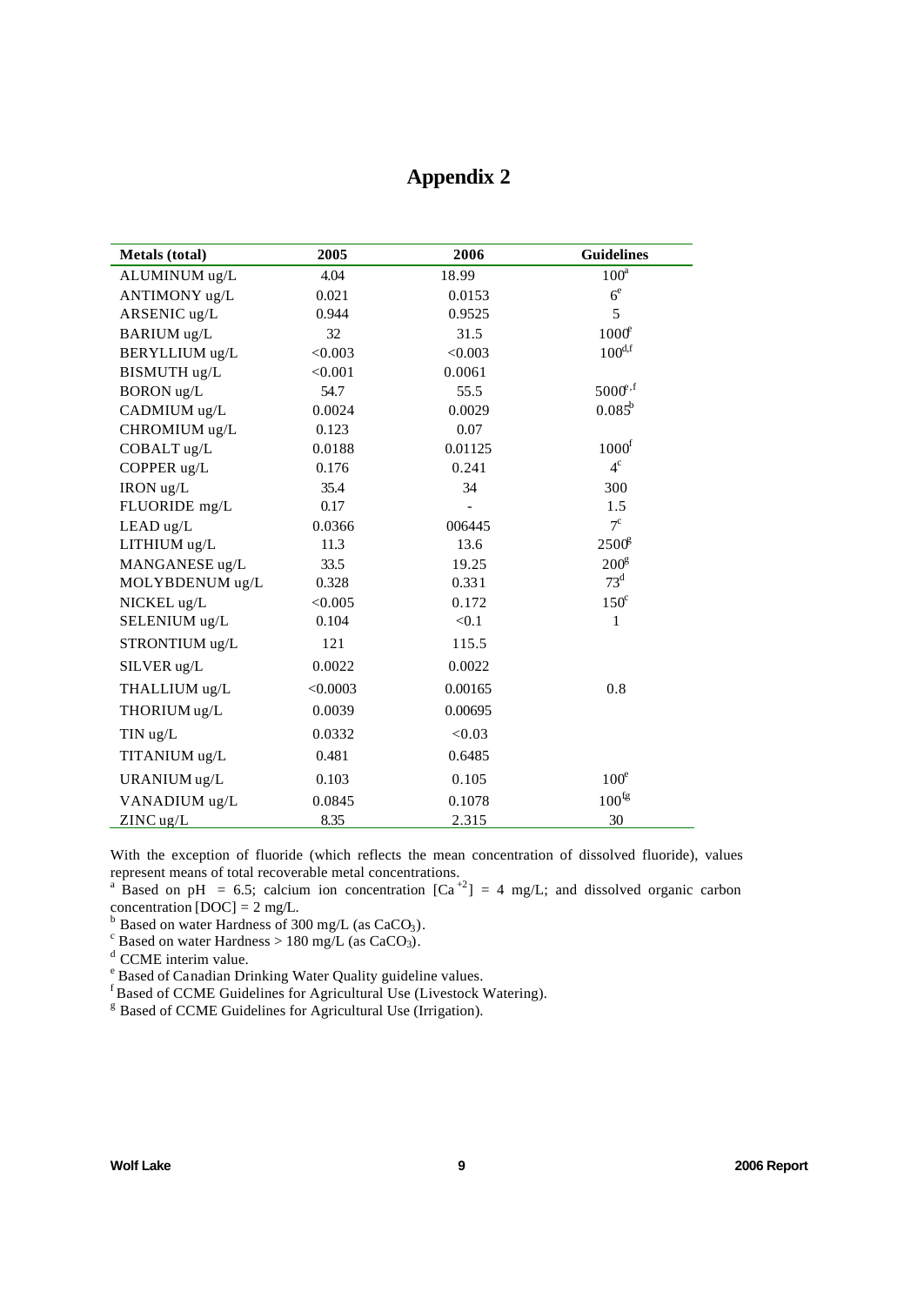## **Appendix 2**

| <b>Metals</b> (total) | 2005     | 2006    | <b>Guidelines</b> |
|-----------------------|----------|---------|-------------------|
| ALUMINUM ug/L         | 4.04     | 18.99   | $100^a$           |
| ANTIMONY ug/L         | 0.021    | 0.0153  | 6 <sup>e</sup>    |
| ARSENIC ug/L          | 0.944    | 0.9525  | 5                 |
| BARIUM ug/L           | 32       | 31.5    | $1000^{\circ}$    |
| BERYLLIUM ug/L        | < 0.003  | < 0.003 | $100^{d,f}$       |
| BISMUTH ug/L          | < 0.001  | 0.0061  |                   |
| <b>BORON</b> ug/L     | 54.7     | 55.5    | $5000^{6,6}$      |
| CADMIUM ug/L          | 0.0024   | 0.0029  | $0.085^b$         |
| CHROMIUM ug/L         | 0.123    | 0.07    |                   |
| COBALT ug/L           | 0.0188   | 0.01125 | 1000 <sup>f</sup> |
| COPPER ug/L           | 0.176    | 0.241   | $4^{\circ}$       |
| IRON ug/L             | 35.4     | 34      | 300               |
| FLUORIDE mg/L         | 0.17     |         | 1.5               |
| LEAD ug/L             | 0.0366   | 006445  | $7^{\circ}$       |
| LITHIUM ug/L          | 11.3     | 13.6    | 2500 <sup>g</sup> |
| MANGANESE ug/L        | 33.5     | 19.25   | 200 <sup>g</sup>  |
| MOLYBDENUM ug/L       | 0.328    | 0.331   | $73^d$            |
| NICKEL ug/L           | < 0.005  | 0.172   | $150^{\circ}$     |
| SELENIUM ug/L         | 0.104    | < 0.1   | 1                 |
| STRONTIUM ug/L        | 121      | 115.5   |                   |
| SILVER ug/L           | 0.0022   | 0.0022  |                   |
| THALLIUM ug/L         | < 0.0003 | 0.00165 | 0.8               |
| THORIUM ug/L          | 0.0039   | 0.00695 |                   |
| TIN ug/L              | 0.0332   | < 0.03  |                   |
| TITANIUM ug/L         | 0.481    | 0.6485  |                   |
| URANIUM ug/L          | 0.103    | 0.105   | 100 <sup>e</sup>  |
| VANADIUM ug/L         | 0.0845   | 0.1078  | 100 <sup>fg</sup> |
| $ZINC$ ug/L           | 8.35     | 2.315   | 30                |

With the exception of fluoride (which reflects the mean concentration of dissolved fluoride), values represent means of total recoverable metal concentrations.<br><sup>a</sup> Based on pH = 6.5; calcium ion concentration  $[Ca^{+2}] = 4$  mg/L; and dissolved organic carbon

concentration  $[DOC] = 2$  mg/L.

<sup>b</sup> Based on water Hardness of 300 mg/L (as CaCO<sub>3</sub>).<br>
<sup>c</sup> Based on water Hardness > 180 mg/L (as CaCO<sub>3</sub>).

<sup>d</sup> CCME interim value.

<sup>e</sup> Based of Canadian Drinking Water Quality guideline values.

f Based of CCME Guidelines for Agricultural Use (Livestock Watering).

<sup>g</sup> Based of CCME Guidelines for Agricultural Use (Irrigation).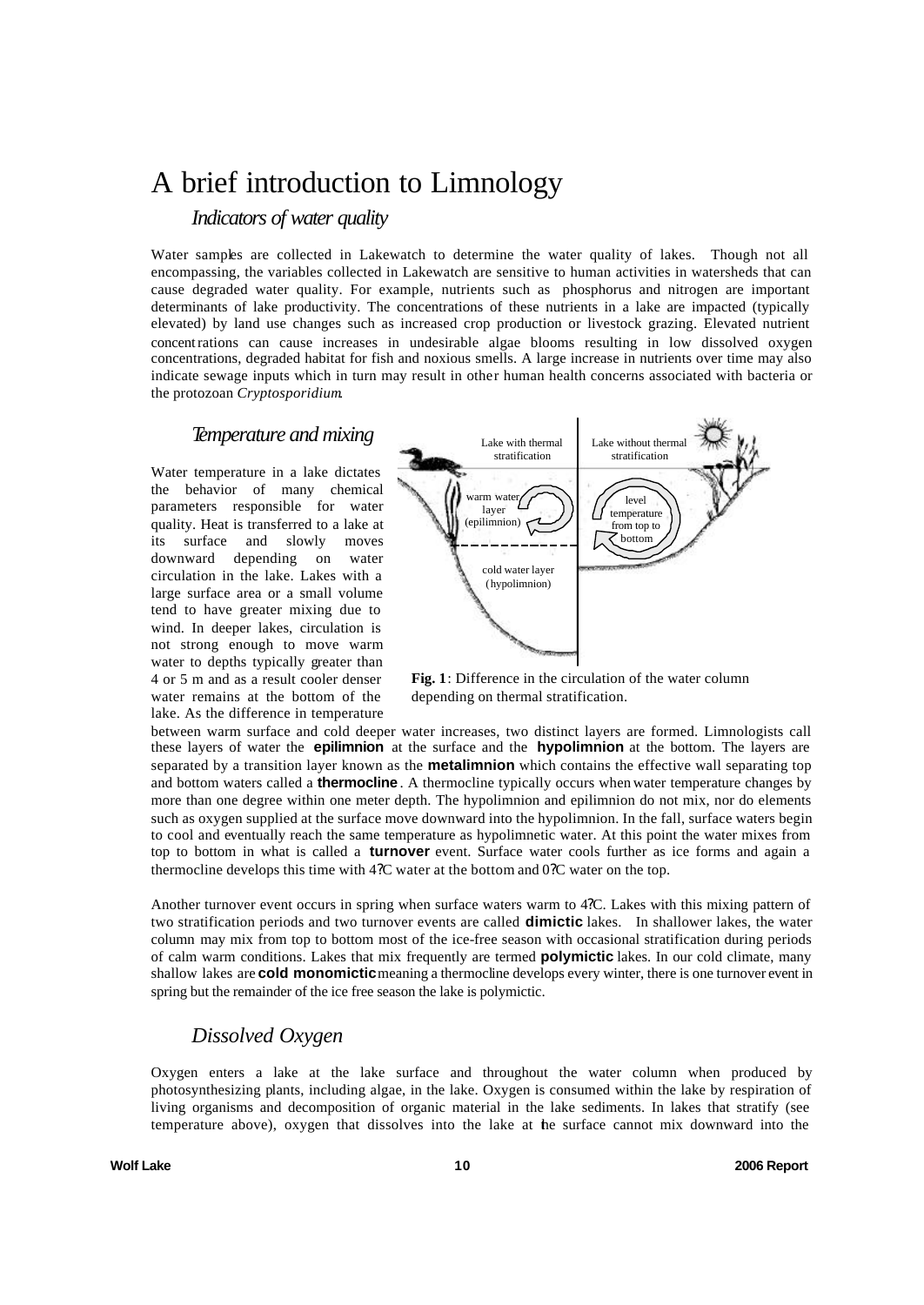## A brief introduction to Limnology

## *Indicators of water quality*

Water samples are collected in Lakewatch to determine the water quality of lakes. Though not all encompassing, the variables collected in Lakewatch are sensitive to human activities in watersheds that can cause degraded water quality. For example, nutrients such as phosphorus and nitrogen are important determinants of lake productivity. The concentrations of these nutrients in a lake are impacted (typically elevated) by land use changes such as increased crop production or livestock grazing. Elevated nutrient concentrations can cause increases in undesirable algae blooms resulting in low dissolved oxygen concentrations, degraded habitat for fish and noxious smells. A large increase in nutrients over time may also indicate sewage inputs which in turn may result in other human health concerns associated with bacteria or the protozoan *Cryptosporidium*.

### *Temperature and mixing*

Water temperature in a lake dictates the behavior of many chemical parameters responsible for water quality. Heat is transferred to a lake at its surface and slowly moves downward depending on water circulation in the lake. Lakes with a large surface area or a small volume tend to have greater mixing due to wind. In deeper lakes, circulation is not strong enough to move warm water to depths typically greater than 4 or 5 m and as a result cooler denser water remains at the bottom of the lake. As the difference in temperature



**Fig. 1**: Difference in the circulation of the water column depending on thermal stratification.

between warm surface and cold deeper water increases, two distinct layers are formed. Limnologists call these layers of water the **epilimnion** at the surface and the **hypolimnion** at the bottom. The layers are separated by a transition layer known as the **metalimnion** which contains the effective wall separating top and bottom waters called a **thermocline** . A thermocline typically occurs when water temperature changes by more than one degree within one meter depth. The hypolimnion and epilimnion do not mix, nor do elements such as oxygen supplied at the surface move downward into the hypolimnion. In the fall, surface waters begin to cool and eventually reach the same temperature as hypolimnetic water. At this point the water mixes from top to bottom in what is called a **turnover** event. Surface water cools further as ice forms and again a thermocline develops this time with 4?C water at the bottom and 0?C water on the top.

Another turnover event occurs in spring when surface waters warm to 4?C. Lakes with this mixing pattern of two stratification periods and two turnover events are called **dimictic** lakes. In shallower lakes, the water column may mix from top to bottom most of the ice-free season with occasional stratification during periods of calm warm conditions. Lakes that mix frequently are termed **polymictic** lakes. In our cold climate, many shallow lakes are **cold monomictic**meaning a thermocline develops every winter, there is one turnover event in spring but the remainder of the ice free season the lake is polymictic.

## *Dissolved Oxygen*

Oxygen enters a lake at the lake surface and throughout the water column when produced by photosynthesizing plants, including algae, in the lake. Oxygen is consumed within the lake by respiration of living organisms and decomposition of organic material in the lake sediments. In lakes that stratify (see temperature above), oxygen that dissolves into the lake at the surface cannot mix downward into the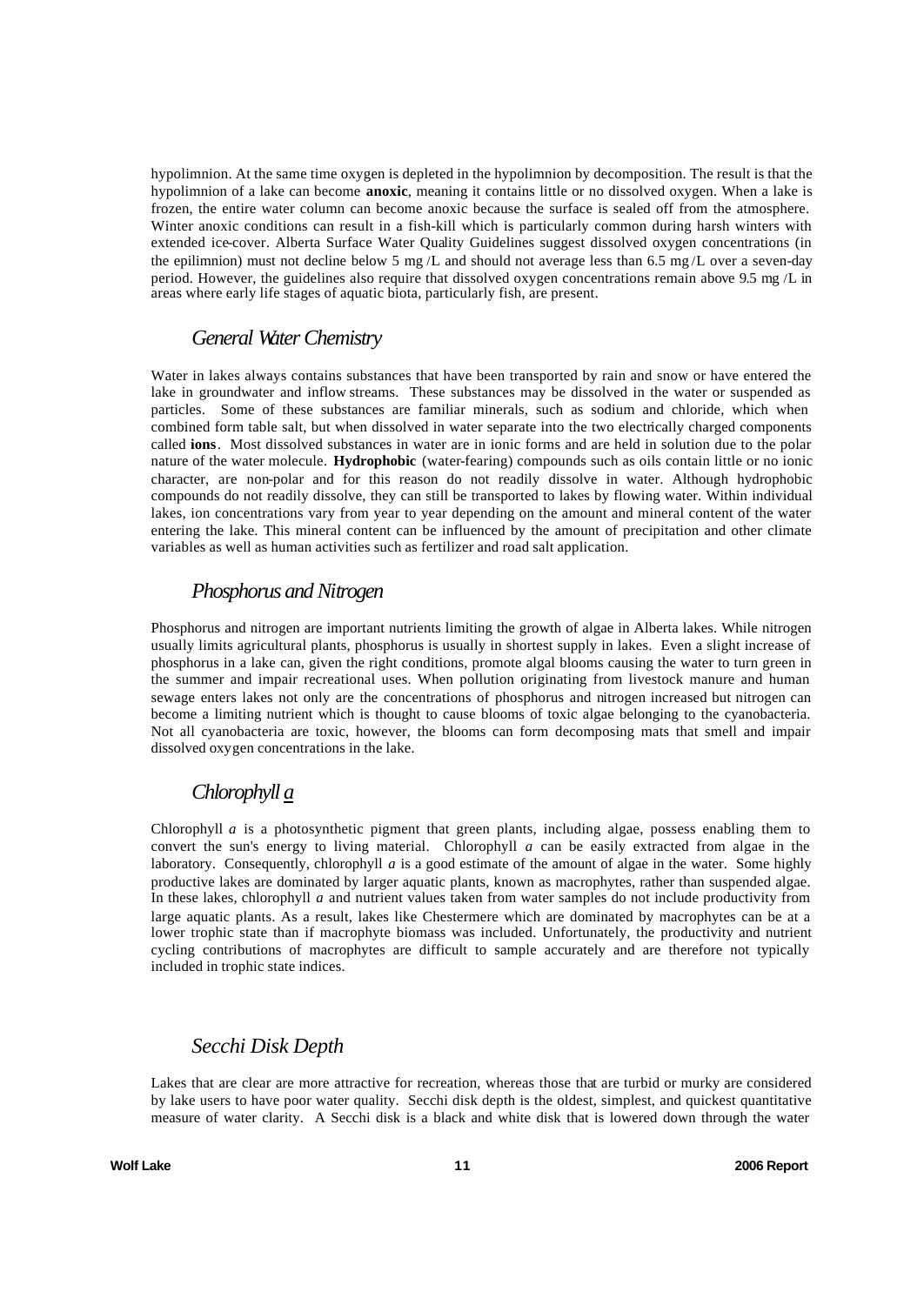hypolimnion. At the same time oxygen is depleted in the hypolimnion by decomposition. The result is that the hypolimnion of a lake can become **anoxic**, meaning it contains little or no dissolved oxygen. When a lake is frozen, the entire water column can become anoxic because the surface is sealed off from the atmosphere. Winter anoxic conditions can result in a fish-kill which is particularly common during harsh winters with extended ice-cover. Alberta Surface Water Quality Guidelines suggest dissolved oxygen concentrations (in the epilimnion) must not decline below 5 mg/L and should not average less than 6.5 mg/L over a seven-day period. However, the guidelines also require that dissolved oxygen concentrations remain above 9.5 mg /L in areas where early life stages of aquatic biota, particularly fish, are present.

#### *General Water Chemistry*

Water in lakes always contains substances that have been transported by rain and snow or have entered the lake in groundwater and inflow streams. These substances may be dissolved in the water or suspended as particles. Some of these substances are familiar minerals, such as sodium and chloride, which when combined form table salt, but when dissolved in water separate into the two electrically charged components called **ions**. Most dissolved substances in water are in ionic forms and are held in solution due to the polar nature of the water molecule. **Hydrophobic** (water-fearing) compounds such as oils contain little or no ionic character, are non-polar and for this reason do not readily dissolve in water. Although hydrophobic compounds do not readily dissolve, they can still be transported to lakes by flowing water. Within individual lakes, ion concentrations vary from year to year depending on the amount and mineral content of the water entering the lake. This mineral content can be influenced by the amount of precipitation and other climate variables as well as human activities such as fertilizer and road salt application.

## *Phosphorus and Nitrogen*

Phosphorus and nitrogen are important nutrients limiting the growth of algae in Alberta lakes. While nitrogen usually limits agricultural plants, phosphorus is usually in shortest supply in lakes. Even a slight increase of phosphorus in a lake can, given the right conditions, promote algal blooms causing the water to turn green in the summer and impair recreational uses. When pollution originating from livestock manure and human sewage enters lakes not only are the concentrations of phosphorus and nitrogen increased but nitrogen can become a limiting nutrient which is thought to cause blooms of toxic algae belonging to the cyanobacteria. Not all cyanobacteria are toxic, however, the blooms can form decomposing mats that smell and impair dissolved oxygen concentrations in the lake.

## *Chlorophyll a*

Chlorophyll  $a$  is a photosynthetic pigment that green plants, including algae, possess enabling them to convert the sun's energy to living material. Chlorophyll *a* can be easily extracted from algae in the laboratory. Consequently, chlorophyll *a* is a good estimate of the amount of algae in the water. Some highly productive lakes are dominated by larger aquatic plants, known as macrophytes, rather than suspended algae. In these lakes, chlorophyll *a* and nutrient values taken from water samples do not include productivity from large aquatic plants. As a result, lakes like Chestermere which are dominated by macrophytes can be at a lower trophic state than if macrophyte biomass was included. Unfortunately, the productivity and nutrient cycling contributions of macrophytes are difficult to sample accurately and are therefore not typically included in trophic state indices.

## *Secchi Disk Depth*

Lakes that are clear are more attractive for recreation, whereas those that are turbid or murky are considered by lake users to have poor water quality. Secchi disk depth is the oldest, simplest, and quickest quantitative measure of water clarity. A Secchi disk is a black and white disk that is lowered down through the water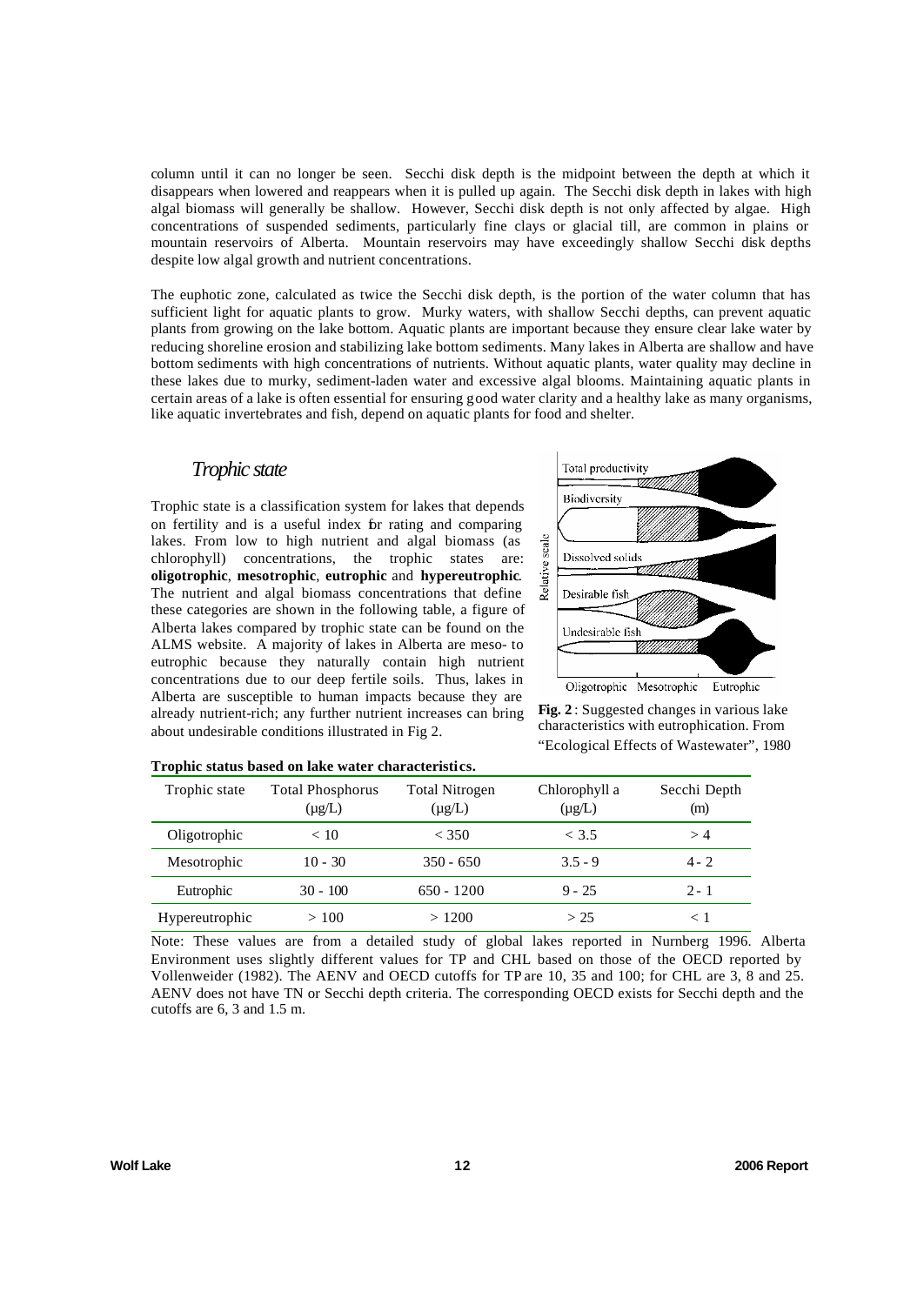column until it can no longer be seen. Secchi disk depth is the midpoint between the depth at which it disappears when lowered and reappears when it is pulled up again. The Secchi disk depth in lakes with high algal biomass will generally be shallow. However, Secchi disk depth is not only affected by algae. High concentrations of suspended sediments, particularly fine clays or glacial till, are common in plains or mountain reservoirs of Alberta. Mountain reservoirs may have exceedingly shallow Secchi disk depths despite low algal growth and nutrient concentrations.

The euphotic zone, calculated as twice the Secchi disk depth, is the portion of the water column that has sufficient light for aquatic plants to grow. Murky waters, with shallow Secchi depths, can prevent aquatic plants from growing on the lake bottom. Aquatic plants are important because they ensure clear lake water by reducing shoreline erosion and stabilizing lake bottom sediments. Many lakes in Alberta are shallow and have bottom sediments with high concentrations of nutrients. Without aquatic plants, water quality may decline in these lakes due to murky, sediment-laden water and excessive algal blooms. Maintaining aquatic plants in certain areas of a lake is often essential for ensuring good water clarity and a healthy lake as many organisms, like aquatic invertebrates and fish, depend on aquatic plants for food and shelter.

### *Trophic state*

Trophic state is a classification system for lakes that depends on fertility and is a useful index for rating and comparing lakes. From low to high nutrient and algal biomass (as chlorophyll) concentrations, the trophic states are: **oligotrophic**, **mesotrophic**, **eutrophic** and **hypereutrophic**. The nutrient and algal biomass concentrations that define these categories are shown in the following table, a figure of Alberta lakes compared by trophic state can be found on the ALMS website. A majority of lakes in Alberta are meso- to eutrophic because they naturally contain high nutrient concentrations due to our deep fertile soils. Thus, lakes in Alberta are susceptible to human impacts because they are already nutrient-rich; any further nutrient increases can bring about undesirable conditions illustrated in Fig 2.



**Fig. 2** : Suggested changes in various lake characteristics with eutrophication. From "Ecological Effects of Wastewater", 1980

| Trophic state  | <b>Total Phosphorus</b><br>$(\mu g/L)$ | <b>Total Nitrogen</b><br>$(\mu g/L)$ | Chlorophyll a<br>$(\mu g/L)$ | Secchi Depth<br>(m) |
|----------------|----------------------------------------|--------------------------------------|------------------------------|---------------------|
| Oligotrophic   | < 10                                   | < 350                                | < 3.5                        | >4                  |
| Mesotrophic    | $10 - 30$                              | $350 - 650$                          | $3.5 - 9$                    | $4 - 2$             |
| Eutrophic      | $30 - 100$                             | $650 - 1200$                         | $9 - 25$                     | $2 - 1$             |
| Hypereutrophic | >100                                   | >1200                                | > 25                         | $<\,$ l             |

## **Trophic status based on lake water characteristics.**

Note: These values are from a detailed study of global lakes reported in Nurnberg 1996. Alberta Environment uses slightly different values for TP and CHL based on those of the OECD reported by Vollenweider (1982). The AENV and OECD cutoffs for TP are 10, 35 and 100; for CHL are 3, 8 and 25. AENV does not have TN or Secchi depth criteria. The corresponding OECD exists for Secchi depth and the cutoffs are 6, 3 and 1.5 m.